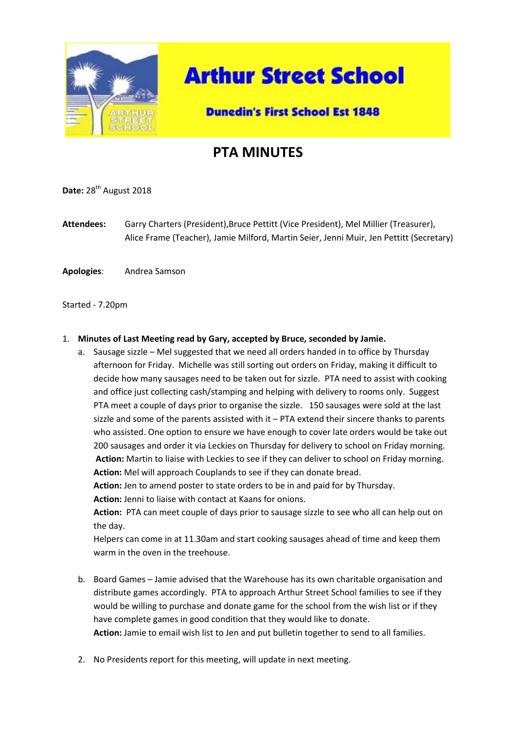

# **Arthur Street School**

### **Dunedin's First School Est 1848**

## **PTA MINUTES**

**Date:** 28<sup>th</sup> August 2018

**Attendees:** Garry Charters (President),Bruce Pettitt (Vice President), Mel Millier (Treasurer), Alice Frame (Teacher), Jamie Milford, Martin Seier, Jenni Muir, Jen Pettitt (Secretary)

**Apologies**: Andrea Samson

#### Started - 7.20pm

#### 1. **Minutes of Last Meeting read by Gary, accepted by Bruce, seconded by Jamie.**

a. Sausage sizzle – Mel suggested that we need all orders handed in to office by Thursday afternoon for Friday. Michelle was still sorting out orders on Friday, making it difficult to decide how many sausages need to be taken out for sizzle. PTA need to assist with cooking and office just collecting cash/stamping and helping with delivery to rooms only. Suggest PTA meet a couple of days prior to organise the sizzle. 150 sausages were sold at the last sizzle and some of the parents assisted with it – PTA extend their sincere thanks to parents who assisted. One option to ensure we have enough to cover late orders would be take out 200 sausages and order it via Leckies on Thursday for delivery to school on Friday morning. **Action:** Martin to liaise with Leckies to see if they can deliver to school on Friday morning. **Action:** Mel will approach Couplands to see if they can donate bread.

**Action:** Jen to amend poster to state orders to be in and paid for by Thursday.

**Action:** Jenni to liaise with contact at Kaans for onions.

**Action:** PTA can meet couple of days prior to sausage sizzle to see who all can help out on the day.

Helpers can come in at 11.30am and start cooking sausages ahead of time and keep them warm in the oven in the treehouse.

- b. Board Games Jamie advised that the Warehouse has its own charitable organisation and distribute games accordingly. PTA to approach Arthur Street School families to see if they would be willing to purchase and donate game for the school from the wish list or if they have complete games in good condition that they would like to donate. **Action:** Jamie to email wish list to Jen and put bulletin together to send to all families.
- 2. No Presidents report for this meeting, will update in next meeting.